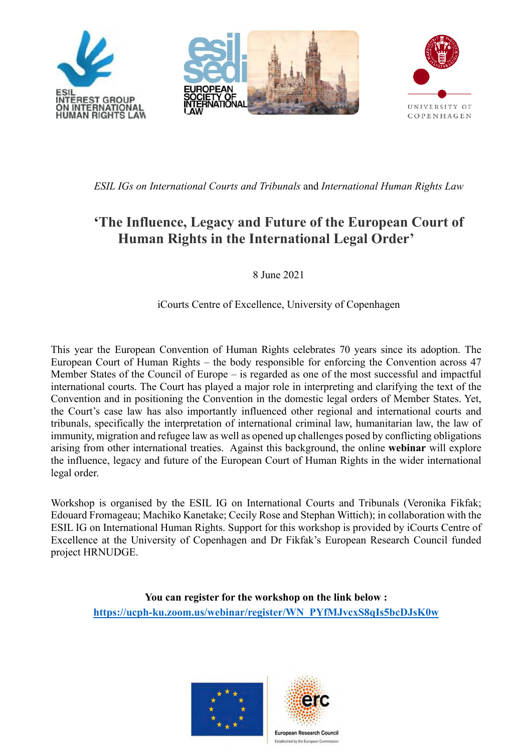

*ESIL IGs on International Courts and Tribunals* and *International Human Rights Law*

# **'The Influence, Legacy and Future of the European Court of Human Rights in the International Legal Order'**

8 June 2021

iCourts Centre of Excellence, University of Copenhagen

This year the European Convention of Human Rights celebrates 70 years since its adoption. The European Court of Human Rights – the body responsible for enforcing the Convention across 47 Member States of the Council of Europe – is regarded as one of the most successful and impactful international courts. The Court has played a major role in interpreting and clarifying the text of the Convention and in positioning the Convention in the domestic legal orders of Member States. Yet, the Court's case law has also importantly influenced other regional and international courts and tribunals, specifically the interpretation of international criminal law, humanitarian law, the law of immunity, migration and refugee law as well as opened up challenges posed by conflicting obligations arising from other international treaties. Against this background, the online **webinar** will explore the influence, legacy and future of the European Court of Human Rights in the wider international legal order.

Workshop is organised by the ESIL IG on International Courts and Tribunals (Veronika Fikfak; Edouard Fromageau; Machiko Kanetake; Cecily Rose and Stephan Wittich); in collaboration with the ESIL IG on International Human Rights. Support for this workshop is provided by iCourts Centre of Excellence at the University of Copenhagen and Dr Fikfak's European Research Council funded project HRNUDGE.

**You can register for the workshop on the link below : https://ucph-ku.zoom.us/webinar/register/WN\_PYfMJvcxS8qIs5bcDJsK0w**





Established by the European Com-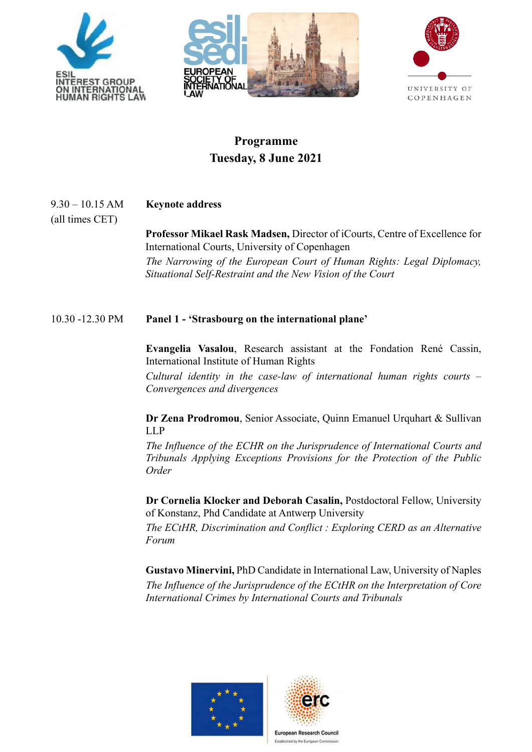





## **Programme Tuesday, 8 June 2021**

9.30 – 10.15 AM **Keynote address**

(all times CET)

**Professor Mikael Rask Madsen,** Director of iCourts, Centre of Excellence for International Courts, University of Copenhagen

*The Narrowing of the European Court of Human Rights: Legal Diplomacy, Situational Self-Restraint and the New Vision of the Court* 

### 10.30 -12.30 PM **Panel 1 - 'Strasbourg on the international plane'**

**Evangelia Vasalou**, Research assistant at the Fondation René Cassin, International Institute of Human Rights

*Cultural identity in the case-law of international human rights courts – Convergences and divergences*

**Dr Zena Prodromou**, Senior Associate, Quinn Emanuel Urquhart & Sullivan LLP

*The Influence of the ECHR on the Jurisprudence of International Courts and Tribunals Applying Exceptions Provisions for the Protection of the Public Order*

**Dr Cornelia Klocker and Deborah Casalin,** Postdoctoral Fellow, University of Konstanz, Phd Candidate at Antwerp University

*The ECtHR, Discrimination and Conflict : Exploring CERD as an Alternative Forum*

**Gustavo Minervini,** PhD Candidate in International Law, University of Naples *The Influence of the Jurisprudence of the ECtHR on the Interpretation of Core International Crimes by International Courts and Tribunals*